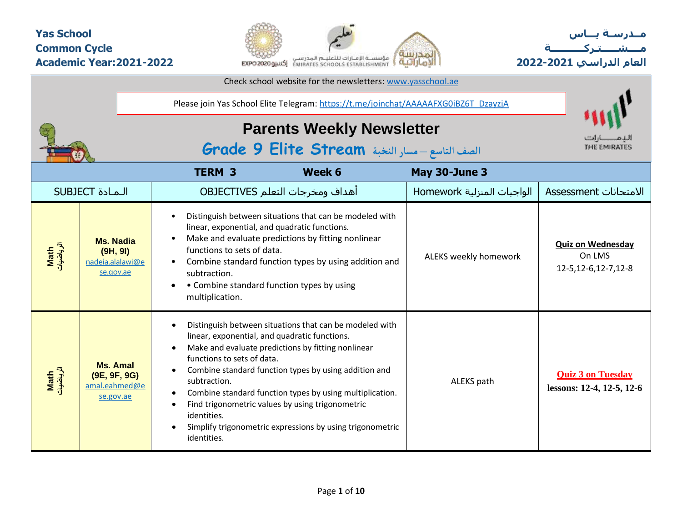#### **Yas School Common Cycle Academic Year:2021-2022**



**مــدرسـة يـــاس مــــشـ ـــ ـتـ ركـ ــــــــــ ة العام الدراسي -2021 2022**

|                                |                                                               |                                                                                                                                                                                                         | Check school website for the newsletters: www.yasschool.ae                                                                                                                                                                                                                                                                                          |                            |                                                              |
|--------------------------------|---------------------------------------------------------------|---------------------------------------------------------------------------------------------------------------------------------------------------------------------------------------------------------|-----------------------------------------------------------------------------------------------------------------------------------------------------------------------------------------------------------------------------------------------------------------------------------------------------------------------------------------------------|----------------------------|--------------------------------------------------------------|
|                                |                                                               |                                                                                                                                                                                                         | Please join Yas School Elite Telegram: https://t.me/joinchat/AAAAAFXG0iBZ6T_DzayzjA                                                                                                                                                                                                                                                                 |                            |                                                              |
|                                |                                                               |                                                                                                                                                                                                         | <b>Parents Weekly Newsletter</b><br>الصف التاسع - مسار النخبة Grade 9 Elite Stream                                                                                                                                                                                                                                                                  |                            | THE EMIRATES                                                 |
|                                |                                                               | <b>TERM 3</b>                                                                                                                                                                                           | Week 6                                                                                                                                                                                                                                                                                                                                              | May 30-June 3              |                                                              |
|                                | <b>SUBJECT</b> المادة                                         |                                                                                                                                                                                                         | أهداف ومخرجات التعلم OBJECTIVES                                                                                                                                                                                                                                                                                                                     | الواجبات المنزلية Homework | الامتحانات Assessment                                        |
| <mark>Math</mark><br>الرياضيات | <b>Ms. Nadia</b><br>(9H, 9I)<br>nadeia.alalawi@e<br>se.gov.ae | $\bullet$<br>linear, exponential, and quadratic functions.<br>$\bullet$<br>functions to sets of data.<br>$\bullet$<br>subtraction.<br>$\bullet$<br>multiplication.                                      | Distinguish between situations that can be modeled with<br>Make and evaluate predictions by fitting nonlinear<br>Combine standard function types by using addition and<br>• Combine standard function types by using                                                                                                                                | ALEKS weekly homework      | <b>Quiz on Wednesday</b><br>On LMS<br>12-5, 12-6, 12-7, 12-8 |
| Math<br>الرياضيات              | <b>Ms. Amal</b><br>(9E, 9F, 9G)<br>amal.eahmed@e<br>se.gov.ae | $\bullet$<br>linear, exponential, and quadratic functions.<br>$\bullet$<br>functions to sets of data.<br>$\bullet$<br>subtraction.<br>$\bullet$<br>$\bullet$<br>identities.<br>$\bullet$<br>identities. | Distinguish between situations that can be modeled with<br>Make and evaluate predictions by fitting nonlinear<br>Combine standard function types by using addition and<br>Combine standard function types by using multiplication.<br>Find trigonometric values by using trigonometric<br>Simplify trigonometric expressions by using trigonometric | ALEKS path                 | <b>Quiz 3 on Tuesday</b><br>lessons: 12-4, 12-5, 12-6        |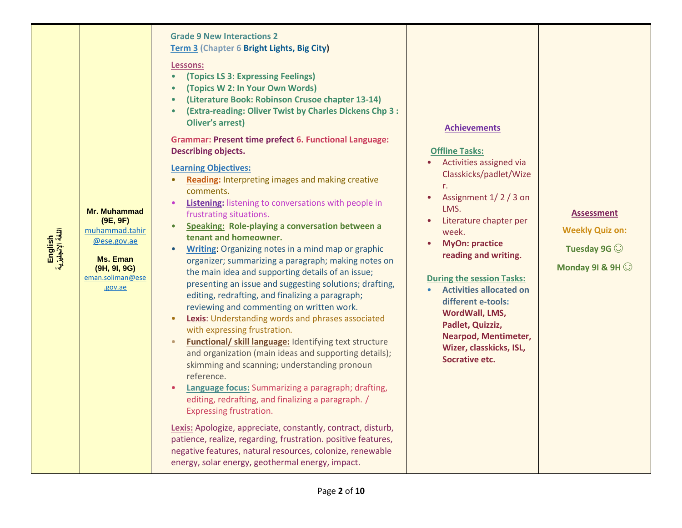| English<br>اللغة الإنجليزية | <b>Mr. Muhammad</b><br>(9E, 9F)<br>muhammad.tahir<br>@ese.gov.ae<br>Ms. Eman<br>(9H, 9I, 9G)<br>eman.soliman@ese<br>.gov.ae | <b>Grade 9 New Interactions 2</b><br>Term 3 (Chapter 6 Bright Lights, Big City)<br>Lessons:<br>(Topics LS 3: Expressing Feelings)<br>(Topics W 2: In Your Own Words)<br>(Literature Book: Robinson Crusoe chapter 13-14)<br>(Extra-reading: Oliver Twist by Charles Dickens Chp 3 :<br><b>Oliver's arrest)</b><br><b>Grammar: Present time prefect 6. Functional Language:</b><br><b>Describing objects.</b><br><b>Learning Objectives:</b><br>Reading: Interpreting images and making creative<br>$\bullet$<br>comments.<br><b>Listening:</b> listening to conversations with people in<br>frustrating situations.<br>Speaking: Role-playing a conversation between a<br>tenant and homeowner.<br>Writing: Organizing notes in a mind map or graphic<br>$\bullet$<br>organizer; summarizing a paragraph; making notes on<br>the main idea and supporting details of an issue;<br>presenting an issue and suggesting solutions; drafting,<br>editing, redrafting, and finalizing a paragraph;<br>reviewing and commenting on written work.<br><b>Lexis:</b> Understanding words and phrases associated<br>with expressing frustration.<br>Functional/ skill language: Identifying text structure<br>and organization (main ideas and supporting details);<br>skimming and scanning; understanding pronoun<br>reference.<br>Language focus: Summarizing a paragraph; drafting,<br>editing, redrafting, and finalizing a paragraph. /<br>Expressing frustration.<br>Lexis: Apologize, appreciate, constantly, contract, disturb,<br>patience, realize, regarding, frustration. positive features,<br>negative features, natural resources, colonize, renewable<br>energy, solar energy, geothermal energy, impact. | <b>Achievements</b><br><b>Offline Tasks:</b><br>Activities assigned via<br>Classkicks/padlet/Wize<br>r.<br>Assignment 1/2/3 on<br>$\bullet$<br>LMS.<br>Literature chapter per<br>week.<br><b>MyOn: practice</b><br>$\bullet$<br>reading and writing.<br><b>During the session Tasks:</b><br><b>Activities allocated on</b><br>$\bullet$<br>different e-tools:<br>WordWall, LMS,<br>Padlet, Quizziz,<br>Nearpod, Mentimeter,<br>Wizer, classkicks, ISL,<br><b>Socrative etc.</b> | <b>Assessment</b><br><b>Weekly Quiz on:</b><br>Tuesday 9G $\odot$<br>Monday 91 & 9H |
|-----------------------------|-----------------------------------------------------------------------------------------------------------------------------|------------------------------------------------------------------------------------------------------------------------------------------------------------------------------------------------------------------------------------------------------------------------------------------------------------------------------------------------------------------------------------------------------------------------------------------------------------------------------------------------------------------------------------------------------------------------------------------------------------------------------------------------------------------------------------------------------------------------------------------------------------------------------------------------------------------------------------------------------------------------------------------------------------------------------------------------------------------------------------------------------------------------------------------------------------------------------------------------------------------------------------------------------------------------------------------------------------------------------------------------------------------------------------------------------------------------------------------------------------------------------------------------------------------------------------------------------------------------------------------------------------------------------------------------------------------------------------------------------------------------------------------------------------------------------------------------------------------|---------------------------------------------------------------------------------------------------------------------------------------------------------------------------------------------------------------------------------------------------------------------------------------------------------------------------------------------------------------------------------------------------------------------------------------------------------------------------------|-------------------------------------------------------------------------------------|
|-----------------------------|-----------------------------------------------------------------------------------------------------------------------------|------------------------------------------------------------------------------------------------------------------------------------------------------------------------------------------------------------------------------------------------------------------------------------------------------------------------------------------------------------------------------------------------------------------------------------------------------------------------------------------------------------------------------------------------------------------------------------------------------------------------------------------------------------------------------------------------------------------------------------------------------------------------------------------------------------------------------------------------------------------------------------------------------------------------------------------------------------------------------------------------------------------------------------------------------------------------------------------------------------------------------------------------------------------------------------------------------------------------------------------------------------------------------------------------------------------------------------------------------------------------------------------------------------------------------------------------------------------------------------------------------------------------------------------------------------------------------------------------------------------------------------------------------------------------------------------------------------------|---------------------------------------------------------------------------------------------------------------------------------------------------------------------------------------------------------------------------------------------------------------------------------------------------------------------------------------------------------------------------------------------------------------------------------------------------------------------------------|-------------------------------------------------------------------------------------|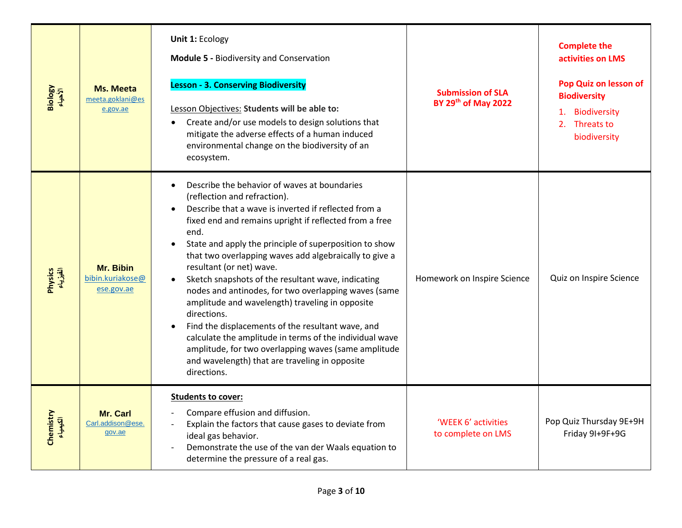| Biology<br>الأحياء    | Ms. Meeta<br>meeta.goklani@es<br>e.gov.ae   | Unit 1: Ecology<br><b>Module 5 - Biodiversity and Conservation</b><br><b>Lesson - 3. Conserving Biodiversity</b><br>Lesson Objectives: Students will be able to:<br>Create and/or use models to design solutions that<br>mitigate the adverse effects of a human induced<br>environmental change on the biodiversity of an<br>ecosystem.                                                                                                                                                                                                                                                                                                                                                                                                                                        | <b>Submission of SLA</b><br>BY 29th of May 2022 | <b>Complete the</b><br>activities on LMS<br>Pop Quiz on lesson of<br><b>Biodiversity</b><br>1. Biodiversity<br>2. Threats to<br>biodiversity |
|-----------------------|---------------------------------------------|---------------------------------------------------------------------------------------------------------------------------------------------------------------------------------------------------------------------------------------------------------------------------------------------------------------------------------------------------------------------------------------------------------------------------------------------------------------------------------------------------------------------------------------------------------------------------------------------------------------------------------------------------------------------------------------------------------------------------------------------------------------------------------|-------------------------------------------------|----------------------------------------------------------------------------------------------------------------------------------------------|
| Physics<br>الفیزیاء   | Mr. Bibin<br>bibin.kuriakose@<br>ese.gov.ae | Describe the behavior of waves at boundaries<br>(reflection and refraction).<br>Describe that a wave is inverted if reflected from a<br>fixed end and remains upright if reflected from a free<br>end.<br>State and apply the principle of superposition to show<br>that two overlapping waves add algebraically to give a<br>resultant (or net) wave.<br>Sketch snapshots of the resultant wave, indicating<br>nodes and antinodes, for two overlapping waves (same<br>amplitude and wavelength) traveling in opposite<br>directions.<br>Find the displacements of the resultant wave, and<br>calculate the amplitude in terms of the individual wave<br>amplitude, for two overlapping waves (same amplitude<br>and wavelength) that are traveling in opposite<br>directions. | Homework on Inspire Science                     | Quiz on Inspire Science                                                                                                                      |
| Chemistry<br>الكيمياء | Mr. Carl<br>Carl.addison@ese.<br>gov.ae     | <b>Students to cover:</b><br>Compare effusion and diffusion.<br>Explain the factors that cause gases to deviate from<br>ideal gas behavior.<br>Demonstrate the use of the van der Waals equation to<br>determine the pressure of a real gas.                                                                                                                                                                                                                                                                                                                                                                                                                                                                                                                                    | 'WEEK 6' activities<br>to complete on LMS       | Pop Quiz Thursday 9E+9H<br>Friday 9I+9F+9G                                                                                                   |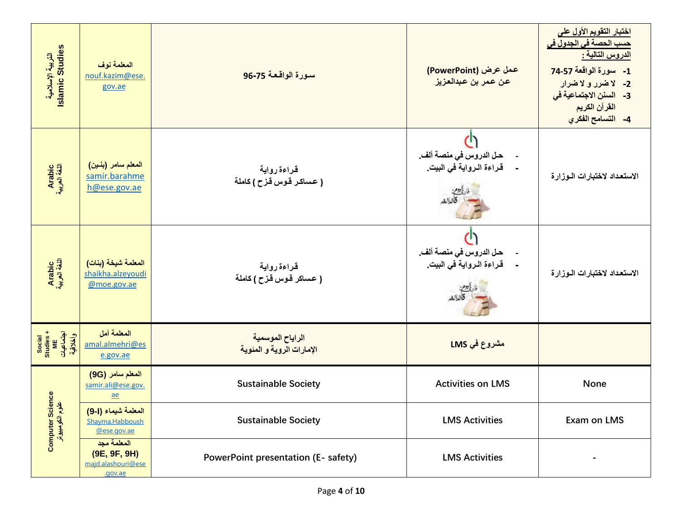| التربية الإسلامية<br>Islamic Studies           | المعلمة نوف<br>nouf.kazim@ese.<br>gov.ae                     | سورة الواقعة 75-96                            | عمل عرض (PowerPoint)<br>عن عمر بن عبدالعزيز       | <u>اختبار التقويم الأول على</u><br><mark>حسب الحصة في الجدول في</mark><br>الدروس التالية :<br>1- سورة الواقعة 74-57<br>2- لاضرر و لاضرار<br>3- السنن الاجتماعية في<br>القرآن الكريم<br>4- التسامح الفكري |
|------------------------------------------------|--------------------------------------------------------------|-----------------------------------------------|---------------------------------------------------|----------------------------------------------------------------------------------------------------------------------------------------------------------------------------------------------------------|
| Arabic<br>اللغة العربية                        | المعلم سامر (بنين)<br>samir.barahme<br>h@ese.gov.ae          | قراءة رواية<br>( عساكر قوس قزح ) كاملة        | حل الدروس في منصة ألف.<br>قراءة الرواية في البيت. | الاستعداد لاختبارات الىوزارة                                                                                                                                                                             |
| Arabic<br>اللغة العربية                        | المعلمة شيخة (بنات)<br>shaikha.alzeyoudi<br>@moe.gov.ae      | قراءة رواية<br>( عساكر قوس قزح ) كاملة        | حل الدروس في منصة ألف.<br>قراءة الرواية في البيت  | الاستعداد لاختبارات الـوزارة                                                                                                                                                                             |
| Social<br>Studies +<br>اجتماعیات<br>وانکلاقیهٔ | المعلمة أمل<br>amal.almehri@es<br>e.gov.ae                   | الراياح الموسمية<br>الإمارات الروية و المئوية | مشروع في LMS                                      |                                                                                                                                                                                                          |
|                                                | المعلم سامر (9G)<br>samir.ali@ese.gov.<br><u>ae</u>          | <b>Sustainable Society</b>                    | <b>Activities on LMS</b>                          | None                                                                                                                                                                                                     |
| Computer Science<br>علوم الکومبیوٹر            | المعلمة شيماء (ا-9)<br>Shayma.Habboush<br>@ese.gov.ae        | <b>Sustainable Society</b>                    | <b>LMS Activities</b>                             | <b>Exam on LMS</b>                                                                                                                                                                                       |
|                                                | المعلمة مجد<br>(9E, 9F, 9H)<br>majd.alashouri@ese<br>.gov.ae | <b>PowerPoint presentation (E- safety)</b>    | <b>LMS Activities</b>                             |                                                                                                                                                                                                          |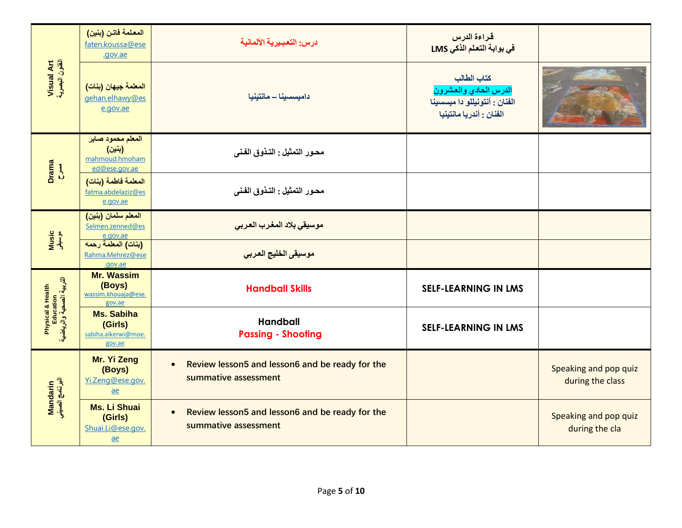|                                                                                                  | المعلمة فاتن (بنين)<br>faten.koussa@ese<br>.gov.ae             | درس: التعبيرية الألمانية                                                             | قراءة الدرس<br>في بوابة التعلم الذكي LMS                                                          |                                           |
|--------------------------------------------------------------------------------------------------|----------------------------------------------------------------|--------------------------------------------------------------------------------------|---------------------------------------------------------------------------------------------------|-------------------------------------------|
| Visual Art<br>القنون البصرية                                                                     | المعلمة جيهان (بنات)<br>gehan.elhawy@es<br>e.gov.ae            | داميسسينا - مانتينيا                                                                 | كتاب الطالب<br>الدرس الحادي والعشرون<br>الفنان : أنتونيللو دا ميسسينا<br>الفنان : أندريا مانتينيا |                                           |
| Drama<br>C                                                                                       | المعلم محمود صابر<br>(بنين)<br>mahmoud.hmoham<br>ed@ese.gov.ae | محـور التمثيل : التـذوق الفـني                                                       |                                                                                                   |                                           |
|                                                                                                  | المعلمة فاطمة (بنات)<br>fatma.abdelaziz@es<br>e.gov.ae         | محـور التمثيل : التـذوق الفـني                                                       |                                                                                                   |                                           |
|                                                                                                  | المعلم سلمان (بنين)<br>Selmen.zenned@es<br>e.gov.ae            | موسيقى بلاد المغرب العربى                                                            |                                                                                                   |                                           |
| Music<br>موسیقی                                                                                  | (بنات) المعلمة رحمه<br>Rahma.Mehrez@ese<br>.gov.ae             | موسيقى الخليج العربي                                                                 |                                                                                                   |                                           |
|                                                                                                  | <b>Mr. Wassim</b><br>(Boys)<br>wassim.khouaja@ese.<br>gov.ae   | <b>Handball Skills</b>                                                               | <b>SELF-LEARNING IN LMS</b>                                                                       |                                           |
| Physical & Health<br>Education<br>الٽربيـ <sup>3</sup> الصحيـ <sup>5</sup> والرياضي <sup>5</sup> | <b>Ms. Sabiha</b><br>(Girls)<br>sabiha.alkerwi@moe.<br>gov.ae  | <b>Handball</b><br><b>Passing - Shooting</b>                                         | <b>SELF-LEARNING IN LMS</b>                                                                       |                                           |
| Mandarin<br>البرنامج الصيني                                                                      | Mr. Yi Zeng<br>(Boys)<br>Yi.Zeng@ese.gov.<br>$ae$              | Review lesson5 and lesson6 and be ready for the<br>$\bullet$<br>summative assessment |                                                                                                   | Speaking and pop quiz<br>during the class |
|                                                                                                  | <b>Ms. Li Shuai</b><br>(Girls)<br>Shuai.Li@ese.gov.<br>$ae$    | Review lesson5 and lesson6 and be ready for the<br>$\bullet$<br>summative assessment |                                                                                                   | Speaking and pop quiz<br>during the cla   |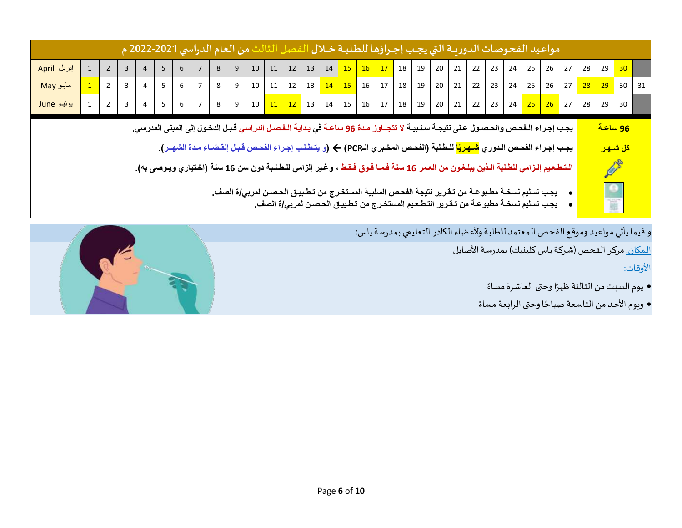|                                                                                                                                                                                                                     |  |                |  |                |       |                |                |   |                | مواعيد الفحوصات الدوريــة التي يجـب إجـراؤها للطلبــة خــلال الفصل الثالث من العام الدراسي 2021-2022 م                                         |              |                                                                                                                                                                                                                                 |                   |                           |                |                                                                                               |    |  |                           |    |    |    |    |    |    |                |                       |    |
|---------------------------------------------------------------------------------------------------------------------------------------------------------------------------------------------------------------------|--|----------------|--|----------------|-------|----------------|----------------|---|----------------|------------------------------------------------------------------------------------------------------------------------------------------------|--------------|---------------------------------------------------------------------------------------------------------------------------------------------------------------------------------------------------------------------------------|-------------------|---------------------------|----------------|-----------------------------------------------------------------------------------------------|----|--|---------------------------|----|----|----|----|----|----|----------------|-----------------------|----|
| إبريل April                                                                                                                                                                                                         |  | $\overline{2}$ |  |                | 5     | 6              |                | 8 | 9 <sup>°</sup> | 10                                                                                                                                             |              | $11 \mid 12 \mid$                                                                                                                                                                                                               |                   | $13 \mid 14 \mid 15 \mid$ |                | $\begin{array}{ c c c c c c c c } \hline \textbf{16} & \textbf{17} & \textbf{18} \end{array}$ | 19 |  | $20 \mid 21 \mid 22 \mid$ | 23 | 24 | 25 | 26 | 27 | 28 | 29             | 30                    |    |
| مايو May                                                                                                                                                                                                            |  | $\overline{2}$ |  | 4              | 5     | 6              | $\overline{7}$ | 8 | 9              |                                                                                                                                                | $10 \mid 11$ |                                                                                                                                                                                                                                 | $12 \mid 13 \mid$ |                           |                |                                                                                               | 19 |  | $20 \mid 21 \mid 22 \mid$ | 23 | 24 | 25 | 26 | 27 | 28 | 29             | 30                    | 31 |
| يونيو June                                                                                                                                                                                                          |  | $\overline{2}$ |  | $\overline{4}$ | $5-1$ | 6 <sup>1</sup> | 7 <sup>1</sup> | 8 | 9              |                                                                                                                                                |              | 10 $\boxed{11}$ $\boxed{12}$ $\boxed{13}$ $\boxed{14}$ $\boxed{15}$ $\boxed{16}$ $\boxed{17}$ $\boxed{18}$ $\boxed{19}$ $\boxed{20}$ $\boxed{21}$ $\boxed{22}$ $\boxed{23}$ $\boxed{24}$ $\boxed{25}$ $\boxed{26}$ $\boxed{27}$ |                   |                           |                |                                                                                               |    |  |                           |    |    |    |    |    | 28 | 29             | 30                    |    |
|                                                                                                                                                                                                                     |  |                |  |                |       |                |                |   |                | يجب إجراء الـفحص والحصول على نتيجـة سـلـبيـة لا تتجــاوز مـدة 96 ساعـة في بـدايـة الـفـصـل الدراسي قـبـل الدخول إلى المبنى المدرسي.            |              |                                                                                                                                                                                                                                 |                   |                           |                |                                                                                               |    |  |                           |    |    |    |    |    |    | <u>96 ساعة</u> |                       |    |
|                                                                                                                                                                                                                     |  |                |  |                |       |                |                |   |                | يجب إجراء الفحص الدوري <mark>شهريًا</mark> للطلبة (الفحص المخبري الـPCR) ← (و يتطلب إجراء الفحص قبل إنقضاء مدة الشهـر).                        |              |                                                                                                                                                                                                                                 |                   |                           |                |                                                                                               |    |  |                           |    |    |    |    |    |    |                | <mark>كل شـهـر</mark> |    |
|                                                                                                                                                                                                                     |  |                |  |                |       |                |                |   |                | الـتـطـعـيم إلـزامي للطـلبة الـذين يبلـغـون من العـمر 16 سنـة فـمـا فـوق فـقـط ، وغـير إلزامي للـطـلـبة دون سن 16 سنـة (اخـتياري ويـوصـى بـه). |              |                                                                                                                                                                                                                                 |                   |                           |                |                                                                                               |    |  |                           |    |    |    |    |    |    | Ø              |                       |    |
| يجب تسليم نسخـة مطـبوعـة من تـقـرير نتيجة الفحـص السلبية المستخـرج من تـطـبيـق الحـصـن لمرب <i>ي </i> ة الصف.<br>يجب تسليم نسخـة مطبوعـة من تـقـرير التـطـعـيم المستخـرج من تـطـبيـق الحـصـن لمرب <i>ي </i> ة الصف. |  |                |  |                |       |                |                |   |                |                                                                                                                                                |              |                                                                                                                                                                                                                                 |                   |                           | $\bullet$<br>端 |                                                                                               |    |  |                           |    |    |    |    |    |    |                |                       |    |

و فيما يأتي مواعيد وموقع الفحص المعتمد للطلبة ولأعضاء الكادر التعليمي بمدرسة ياس:

<u>المكان:</u> مركز الفحص (شركة ياس كلينيك) بمدرسة الأصايل

األوقات:

- يوم السبت من الثالثة ظهرًا وحتى العاشرة مساءً <u>ً</u>
- وبوم الأحد من التاسعة صباحًا وحتى الرابعة مساءً ٍ<br>أ

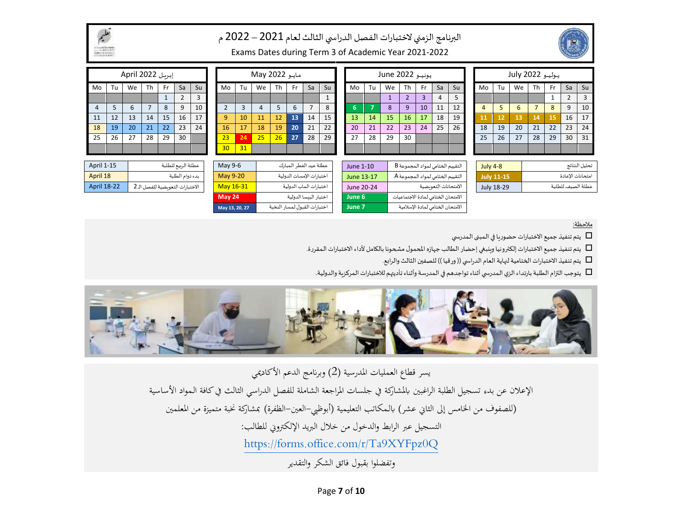

#### البرنامج الزمني لاختبارات الفصل الدراسي الثالث لعام 2021 – 2022 م



Exams Dates during Term 3 of Academic Year 2021-2022

|                |    | إبريل April 2022 |    |     |            |    |                 |    | May 2022 |                 |           |    |    |    |    | يونيو June 2022 |    |     |                |                 |    |    | يوليو 2022 July |    |      |    |    |
|----------------|----|------------------|----|-----|------------|----|-----------------|----|----------|-----------------|-----------|----|----|----|----|-----------------|----|-----|----------------|-----------------|----|----|-----------------|----|------|----|----|
| Mo             | Tu | We               | Th | Fr. | Sa         | Su | Mo              | Tu | We       | Th              | <b>Fr</b> | Sa | Su | Mo | Tu | We              | Th | Fr. | Sa             | Su              | Mo | Tu | We              | Th | - Fr | Sa | Su |
|                |    |                  |    |     | $\epsilon$ |    |                 |    |          |                 |           |    |    |    |    |                 | ∠  |     | $\overline{4}$ |                 |    |    |                 |    |      |    | 3  |
| $\overline{4}$ |    |                  |    | 8   | 9          | 10 |                 |    | 4        |                 | 6         |    | 8  | n  |    | 8               | 9  | 10  | 11             | 12 <sup>2</sup> |    |    | 6               |    | 8    | 9  | 10 |
| 11             | 12 | 13               | 14 | 15  | 16         | 17 | q               | 10 | 11       | 12 <sup>°</sup> | 13        | 14 | 15 | 13 | 14 | <b>15</b>       | 16 | 17  | 18             | 19              | 11 | 12 | 13              | 14 | 15   | 16 | 17 |
| 18             | 19 | 20               | 21 | 22  | 23         | 24 | 16              | 17 | 18       | 19              | 20        | 21 | 22 | 20 | 21 | 22              | 23 | 24  | 25             | 26              | 18 | 19 | 20              | 21 | 22   | 23 | 24 |
| 25             | 26 | 27               | 28 | 29  | 30         |    | 23              | 24 | 25       | 26              | 27        | 28 | 29 | 27 | 28 | 29              | 30 |     |                |                 | 25 | 26 | 27              | 28 | 29   | 30 | 31 |
|                |    |                  |    |     |            |    | 30 <sup>°</sup> | 31 |          |                 |           |    |    |    |    |                 |    |     |                |                 |    |    |                 |    |      |    |    |

|                    |                                  | JU.           |                          |            |                                    |                   |                   |
|--------------------|----------------------------------|---------------|--------------------------|------------|------------------------------------|-------------------|-------------------|
| April 1-15         | عطلة الربيع للطلبة               | May 9-6       | عطلة عيد الفطر المبارك   | June 1-10  | التقييم الختامي لمواد المجموعة B   | <b>July 4-8</b>   | تحليل النتائج     |
| April 18           | بدء دوام الطلبة                  | May 9-20      | اختبارات الإمسات الدولية | June 13-17 | التقييم الختامي لمواد المجموعة A   | <b>July 11-15</b> | امتحانات الاعادة  |
| <b>April 18-22</b> | الاختبارات التعوىضية للفصل الـ 2 | May 16-31     | اختبارات الماب الدولية   | June 20-24 | الامتحانات التعويضية               | July 18-29        | عطلة الصيف للطلبة |
|                    |                                  | <b>May 24</b> | اختبار البيسا الدولية    | June 6     | الامتحان الختامي لمادة الاجتماعيات |                   |                   |

|                |    | إبريل April 2022 |           |                                       |                    |    |                |                 | May 2022 |    |    |                                             |    |            |    | يونيو June 2022 |                                  |                                     |    |    |    |                   | يوليو 2022 July |    |           |                     |               |
|----------------|----|------------------|-----------|---------------------------------------|--------------------|----|----------------|-----------------|----------|----|----|---------------------------------------------|----|------------|----|-----------------|----------------------------------|-------------------------------------|----|----|----|-------------------|-----------------|----|-----------|---------------------|---------------|
| Mo             | Τu | We               | <b>Th</b> | Fr                                    | Sa                 | Su | Mo             | Tu              | We       | Th | Fr | Sa                                          | Su | Mo         | Tu | We              | Th                               | Fr.                                 | Sa | Su | Mo | Tu                | We              | Th | <b>Fr</b> | Sa                  | <b>Su</b>     |
|                |    |                  |           |                                       |                    | 3  |                |                 |          |    |    |                                             |    |            |    |                 | $\overline{2}$                   |                                     | 4  |    |    |                   |                 |    |           | $\overline{2}$      |               |
| $\overline{4}$ |    | 6                |           | 8                                     | 9                  | 10 | $\overline{2}$ | 3               | 4        |    | 6  |                                             | 8  | 6.         |    | 8               | 9                                | 10                                  | 11 | 12 | 4  |                   | 6               |    | 8         | 9                   | 10            |
| 11             | 12 | 13               | 14        | 15                                    | 16                 | 17 | 9              | 10 <sup>°</sup> | 11       | 12 | 13 | 14                                          | 15 | 13         | 14 | 15              | 16                               | 17                                  | 18 | 19 | 11 | 12                | 13              | 14 | 15        | 16                  | 17            |
| 18             | 19 | 20               | 21        | 22                                    | 23                 | 24 | 16             | 17              | 18       | 19 | 20 | 21                                          | 22 | 20         | 21 | 22              | 23                               | 24                                  | 25 | 26 | 18 | 19                | 20              | 21 | 22        | 23                  | 24            |
| 25             | 26 | 27               | 28        | 29                                    | 30                 |    | 23             | 24              | 25       | 26 | 27 | 28                                          | 29 | 27         | 28 | 29              | 30                               |                                     |    |    | 25 | 26                | 27              | 28 | 29        | 30                  | 31            |
|                |    |                  |           |                                       |                    |    | 30             | 31              |          |    |    |                                             |    |            |    |                 |                                  |                                     |    |    |    |                   |                 |    |           |                     |               |
|                |    |                  |           |                                       |                    |    |                |                 |          |    |    |                                             |    |            |    |                 |                                  |                                     |    |    |    |                   |                 |    |           |                     |               |
| April 1-15     |    |                  |           |                                       | عطلة الربيع للطلبة |    | May 9-6        |                 |          |    |    | عطلة عيد الفطر المبارك                      |    | June 1-10  |    |                 | التقييم الختامي لمواد المجموعة B |                                     |    |    |    | <b>July 4-8</b>   |                 |    |           |                     | نحليل النتائج |
| April 18       |    |                  |           |                                       | بدء دوام الطلبة    |    | May 9-20       |                 |          |    |    | اختبارات الإمسات الدولية                    |    | June 13-17 |    |                 | التقييم الختامي لمواد المجموعة A |                                     |    |    |    | <b>July 11-15</b> |                 |    |           | امتحانات الاعادة    |               |
| $A = 1000$     |    |                  |           | $2.81 + 1.05$ and $-1.05$ and $-1.05$ |                    |    | $M0$ , $AC21$  |                 |          |    |    | $-5$ $+$ $-1$ $+$ $+$ $+$ $ +$ $+$ $ +$ $+$ |    | 1.1.2.2024 |    |                 |                                  | and the state of the state of which |    |    |    | 1.1.40.20         |                 |    |           | <b>SALAR STREET</b> |               |

| إبريل April 2022 |    |    |    |              |                |                |  |  |  |  |  |  |  |
|------------------|----|----|----|--------------|----------------|----------------|--|--|--|--|--|--|--|
| Mo               | Tu | We | Th | Fr           | Sa             | Su             |  |  |  |  |  |  |  |
|                  |    |    |    | $\mathbf{1}$ | $\overline{2}$ | $\overline{3}$ |  |  |  |  |  |  |  |
| 4                | 5  | 6  | 7  | 8            | 9              | 10             |  |  |  |  |  |  |  |
| 11               | 12 | 13 | 14 | 15           | 16             | 17             |  |  |  |  |  |  |  |
| 18               | 19 | 20 | 21 | 22           | 23             | 24             |  |  |  |  |  |  |  |
| 25               | 26 | 27 | 29 | 30           |                |                |  |  |  |  |  |  |  |
|                  |    |    |    |              |                |                |  |  |  |  |  |  |  |

| <b>April 1-15</b>  | عطلة الربيع للطلبة               |
|--------------------|----------------------------------|
| April 18           | بدء دوام الطلبة                  |
| <b>April 18-22</b> | الاختبارات التعويضية للفصل الـ 2 |

مالحظة:

يتم تنفيذ جميع الاختبارات حضوريا في المبنى المدرسي  $\Box$ 

يتم تنفيذ جميع الاختبارات إلكترونيا وبنبغي إحضار الطالب جهازه المحمول مشحونا بالكامل لأداء الاختبارات المقررة.

 $\Box$ يتم تنفيذ الاختبارات الختامية لنهاية العام الدراسي (( ورقيا )) للصفين الثالث والرابع.

يتوجب التزام الطلبة بارتداء الزي المدرسي أثناء تواجدهم في المدرسة وأثناء تأديتهم للاختبارات المركزية والدولية.



االمتحان الختامي لـمادة اإلسالمية **7 June** اختباراتالقبول لـمسارالنخبة **27 20, 13, May**

يسر قطاع العمليات المدرسية (2) وبرنامج الدعم الأكاديمي اإلعالن عن بدء تسجيل الطلبة الراغبني ابملشاركة ف جلسات املراجعة الشاملة للفصل الدراسي الثالث ف كافة الـمواد األساسية (للصفوف من الخامس إلى الثاني عشر) بالـمكاتب التعليمية (أبوظيى–العين–الظفرة) بمشاركة نخبة متميزة من المعلمين التسجيل عبر الرابط والدخول من خلال البريد الإلكتروني للطالب: <https://forms.office.com/r/Ta9XYFpz0Q> وتفضلوا بقبول فائق الشكر والتقدير

Page **7** of **10**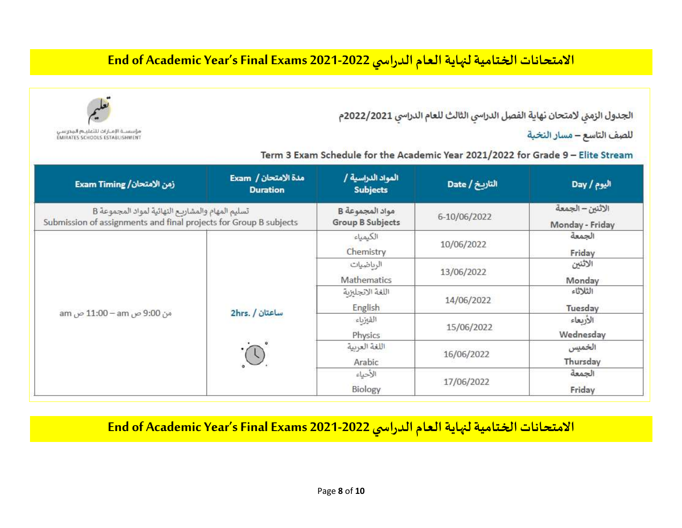## **End of Academic Year's Final Exams 2021-2022 ي الدراس االمتحاناتالختاميةلنهايةالعام**

الجدول الزمني لامتحان نهاية الفصل الدراسي الثالث للعام الدراسي 2022/2021م

للصف التاسع – مسار النخبة

Term 3 Exam Schedule for the Academic Year 2021/2022 for Grade 9 - Elite Stream

| زمن الامتحان/ Exam Timing                                                                                             | مدة الامتحان / Exam<br><b>Duration</b> | المواد الدراسية /<br><b>Subjects</b>       | التاريخ / Date | اليوم / Day                         |
|-----------------------------------------------------------------------------------------------------------------------|----------------------------------------|--------------------------------------------|----------------|-------------------------------------|
| تسليم المهام والمشاريح النهائية لمواد المجموعة B<br>Submission of assignments and final projects for Group B subjects |                                        | مواد المجموعة B<br><b>Group B Subjects</b> | 6-10/06/2022   | الاثنين – الجمعة<br>Monday - Friday |
|                                                                                                                       |                                        | الكيمياء<br>Chemistry                      | 10/06/2022     | الجمعة<br>Friday                    |
|                                                                                                                       |                                        | الرىاضيات<br>Mathematics                   | 13/06/2022     | الاثنين<br>Monday                   |
|                                                                                                                       |                                        | اللغة الانجليزية<br>English                | 14/06/2022     | الثلاثاء<br>Tuesday                 |
| من 9:00 ص am − 11:00 ص am                                                                                             | ساعتان / 2hrs.                         | القيزياء<br>Physics                        | 15/06/2022     | الأربعاء<br>Wednesday               |
|                                                                                                                       |                                        | اللغة العربية<br>Arabic                    | 16/06/2022     | الخميس<br>Thursday                  |
|                                                                                                                       |                                        | الأحياء<br>Biology                         | 17/06/2022     | الجمعة<br>Friday                    |

**End of Academic Year's Final Exams 2021-2022 ي الدراس االمتحاناتالختاميةلنهايةالعام**



مؤسسة الإمـارات للتعليـة المدرسي **EMIRATES SCHOOLS ESTABLISHMENT**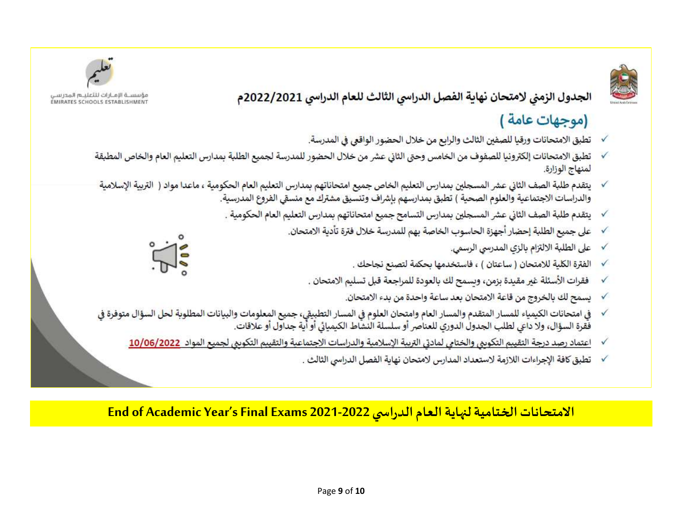### الجدول الزمني لامتحان نهاية الفصل الدراسي الثالث للعام الدراسي 2022/2021م

# (موجهات عامة )

- تطبق الامتحانات ورقيا للصفين الثالث والرابع من خلال الحضور الواقعي في المدرسة. √
- تطبق الامتحانات إلكترونيا للصفوف من الخامس وحتى الثاني عشر من خلال الحضور للمدرسة لجميع الطلبة بمدارس التعليم العام والخاص المطبقة √ لمنهاج الوزارة.
- يتقدم طلبة الصف الثاني عشر المسجلين بمدارس التعليم الخاص جميع امتحاناتهم بمدارس التعليم العام الحكومية ، ماعدا مواد ( التربية الإسلامية V والدراسات الاجتماعية والعلوم الصحية ) تطبق بمدارسهم بإشراف وتنسيق مشترك مع منسقى الفروع المدرسية.
	- يتقدم طلبة الصف الثاني عشر المسجلين بمدارس التسامح جميع امتحاناتهم بمدارس التعليم العام الحكومية . √
		- على جميع الطلبة إحضار أجهزة الحاسوب الخاصة بهم للمدرسة خلال فترة تأدية الامتحان. √
			- على الطلبة الالتزام بالزي المدرسي الرسمي.  $\checkmark$
			- الفترة الكلية للامتحان ( ساعتان ) ، فاستخدمها بحكمة لتصنع نجاحك . √
			- فقرات الأسئلة غير مقيدة بزمن، وبسمح لك بالعودة للمراجعة قبل تسليم الامتحان ٬  $\checkmark$ 
				- يسمح لك بالخروج من قاعة الامتحان بعد ساعة واحدة من بدء الامتحان. √
- في امتحانات الكيمياء للمسار المتقدم والمسار العام وامتحان العلوم في المسار التطبيقي، جميع المعلومات والبيانات المطلوبة لحل السؤال متوفرة في √ فَقرة السؤال، ولا داعي لطلب الجدول الدوري للعناصر أو سلسلة النشاط الكيميائي أو أية جداول أو علاقات.
	- اعتماد رصد درجة التقييم التكوىبي والختامي لمادتي التربية الإسلامية والدراسات الاجتماعية والتقييم التكوىبي لجميع المواد 10/06/2022 √
		- تطبق كافة الإجراءات اللازمة لاستعداد المدارس لامتحان نهاية الفصل الدراسي الثالث .  $\checkmark$

**End of Academic Year's Final Exams 2021-2022 ي الدراس االمتحاناتالختاميةلنهايةالعام**







مؤسسة الإمـازات للثعلبـه المدرسي<br>EMIRATES SCHOOLS ESTABLISHMENT